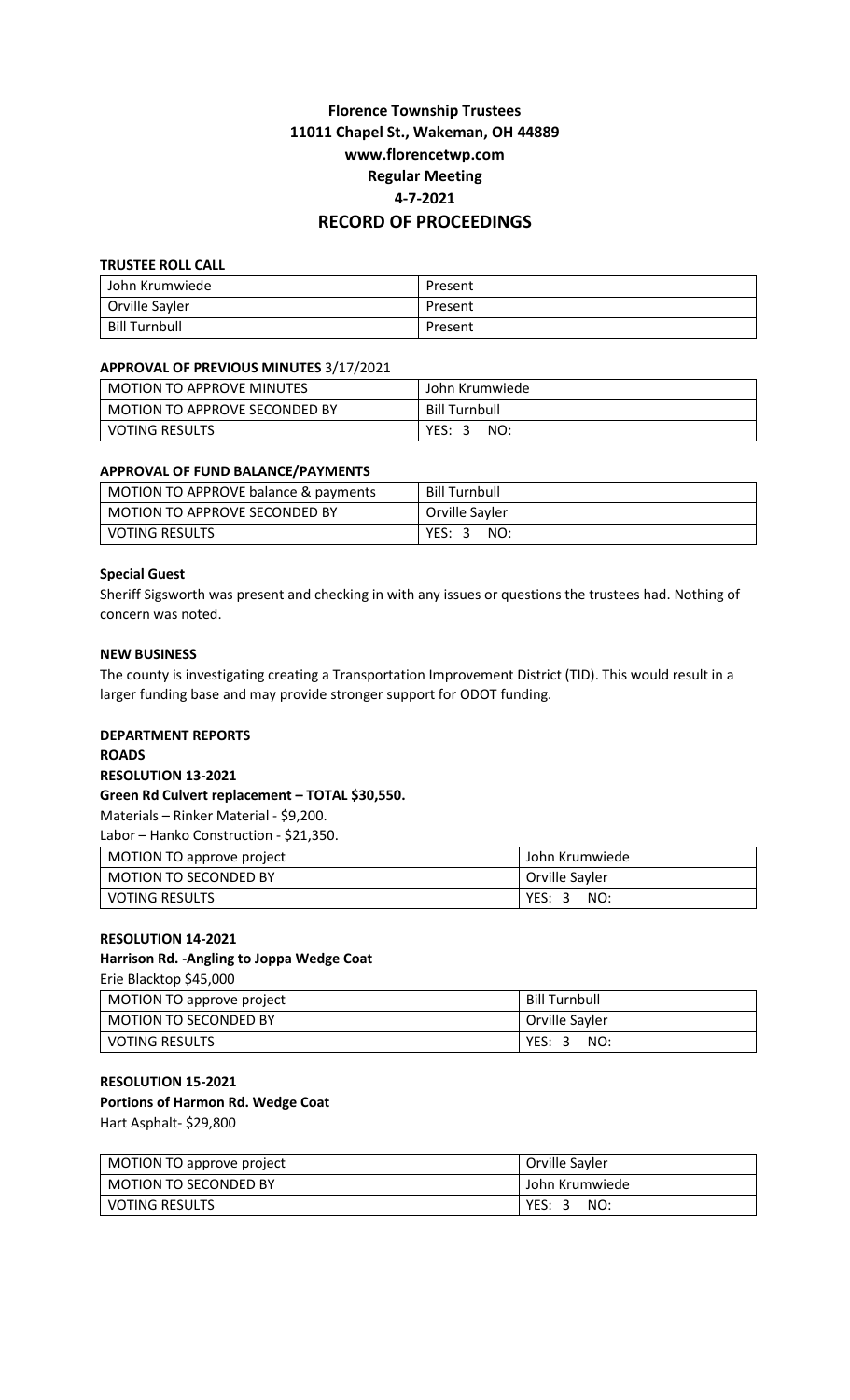# **Florence Township Trustees 11011 Chapel St., Wakeman, OH 44889 www.florencetwp.com Regular Meeting 4-7-2021 RECORD OF PROCEEDINGS**

#### **TRUSTEE ROLL CALL**

| John Krumwiede       | Present |  |  |
|----------------------|---------|--|--|
| Orville Sayler       | Present |  |  |
| <b>Bill Turnbull</b> | Present |  |  |

## **APPROVAL OF PREVIOUS MINUTES** 3/17/2021

| <b>MOTION TO APPROVE MINUTES</b> | John Krumwiede       |
|----------------------------------|----------------------|
| MOTION TO APPROVE SECONDED BY    | <b>Bill Turnbull</b> |
| <b>VOTING RESULTS</b>            | YES: 3<br>NO:        |

## **APPROVAL OF FUND BALANCE/PAYMENTS**

| MOTION TO APPROVE balance & payments | <b>Bill Turnbull</b> |  |  |  |
|--------------------------------------|----------------------|--|--|--|
| MOTION TO APPROVE SECONDED BY        | Orville Sayler       |  |  |  |
| <b>VOTING RESULTS</b>                | YES:<br>NO:<br>- 2   |  |  |  |

#### **Special Guest**

Sheriff Sigsworth was present and checking in with any issues or questions the trustees had. Nothing of concern was noted.

## **NEW BUSINESS**

The county is investigating creating a Transportation Improvement District (TID). This would result in a larger funding base and may provide stronger support for ODOT funding.

#### **DEPARTMENT REPORTS**

**ROADS**

# **RESOLUTION 13-2021**

#### **Green Rd Culvert replacement – TOTAL \$30,550.**

Materials – Rinker Material - \$9,200.

Labor – Hanko Construction - \$21,350.

| MOTION TO approve project | John Krumwiede |  |  |
|---------------------------|----------------|--|--|
| l MOTION TO SECONDED BY   | Orville Sayler |  |  |
| l voting results          | YES:<br>NO:    |  |  |

# **RESOLUTION 14-2021**

# **Harrison Rd. -Angling to Joppa Wedge Coat**

Erie Blacktop \$45,000

| MOTION TO approve project    | <b>Bill Turnbull</b> |
|------------------------------|----------------------|
| <b>MOTION TO SECONDED BY</b> | Orville Sayler       |
| <b>VOTING RESULTS</b>        | YES: 3<br>NO:        |

# **RESOLUTION 15-2021 Portions of Harmon Rd. Wedge Coat**

Hart Asphalt- \$29,800

| MOTION TO approve project    | Orville Sayler |  |  |
|------------------------------|----------------|--|--|
| <b>MOTION TO SECONDED BY</b> | John Krumwiede |  |  |
| <b>VOTING RESULTS</b>        | YES:<br>NO:    |  |  |